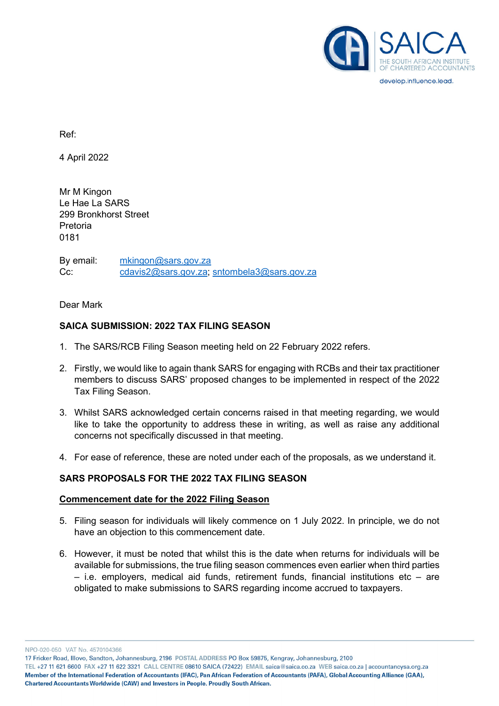

develop.influence.lead.

Ref:

4 April 2022

Mr M Kingon Le Hae La SARS 299 Bronkhorst Street Pretoria 0181

By email: [mkingon@sars.gov.za](mailto:mkingon@sars.gov.za)  Cc: [cdavis2@sars.gov.za;](mailto:cdavis2@sars.gov.za) sntombela3@sars.gov.za

Dear Mark

### **SAICA SUBMISSION: 2022 TAX FILING SEASON**

- 1. The SARS/RCB Filing Season meeting held on 22 February 2022 refers.
- 2. Firstly, we would like to again thank SARS for engaging with RCBs and their tax practitioner members to discuss SARS' proposed changes to be implemented in respect of the 2022 Tax Filing Season.
- 3. Whilst SARS acknowledged certain concerns raised in that meeting regarding, we would like to take the opportunity to address these in writing, as well as raise any additional concerns not specifically discussed in that meeting.
- 4. For ease of reference, these are noted under each of the proposals, as we understand it.

### **SARS PROPOSALS FOR THE 2022 TAX FILING SEASON**

#### **Commencement date for the 2022 Filing Season**

- 5. Filing season for individuals will likely commence on 1 July 2022. In principle, we do not have an objection to this commencement date.
- 6. However, it must be noted that whilst this is the date when returns for individuals will be available for submissions, the true filing season commences even earlier when third parties  $-$  i.e. employers, medical aid funds, retirement funds, financial institutions etc  $-$  are obligated to make submissions to SARS regarding income accrued to taxpayers.

NPO-020-050 VAT No. 4570104366

17 Fricker Road, Illovo, Sandton, Johannesburg, 2196 POSTAL ADDRESS PO Box 59875, Kengray, Johannesburg, 2100

TEL +27 11 621 6600 FAX +27 11 622 3321 CALL CENTRE 08610 SAICA (72422) EMAIL saica@saica.co.za WEB saica.co.za | accountancysa.org.za Member of the International Federation of Accountants (IFAC), Pan African Federation of Accountants (PAFA), Global Accounting Alliance (GAA), Chartered Accountants Worldwide (CAW) and Investors in People. Proudly South African.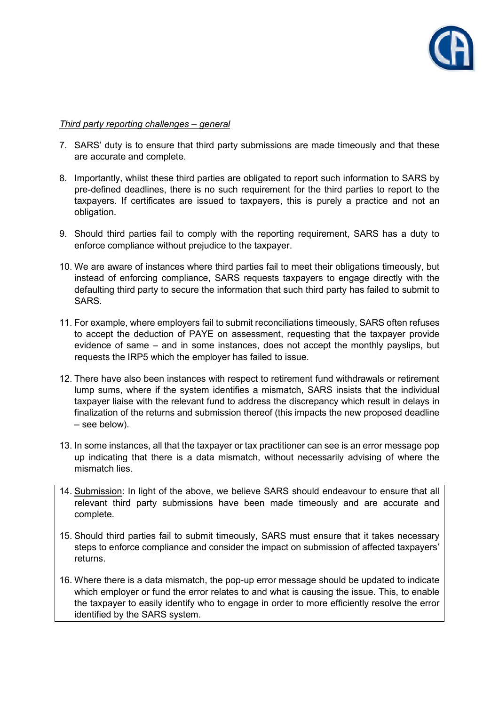

### *Third party reporting challenges – general*

- 7. SARS' duty is to ensure that third party submissions are made timeously and that these are accurate and complete.
- 8. Importantly, whilst these third parties are obligated to report such information to SARS by pre-defined deadlines, there is no such requirement for the third parties to report to the taxpayers. If certificates are issued to taxpayers, this is purely a practice and not an obligation.
- 9. Should third parties fail to comply with the reporting requirement, SARS has a duty to enforce compliance without prejudice to the taxpayer.
- 10. We are aware of instances where third parties fail to meet their obligations timeously, but instead of enforcing compliance, SARS requests taxpayers to engage directly with the defaulting third party to secure the information that such third party has failed to submit to SARS.
- 11. For example, where employers fail to submit reconciliations timeously, SARS often refuses to accept the deduction of PAYE on assessment, requesting that the taxpayer provide evidence of same – and in some instances, does not accept the monthly payslips, but requests the IRP5 which the employer has failed to issue.
- 12. There have also been instances with respect to retirement fund withdrawals or retirement lump sums, where if the system identifies a mismatch, SARS insists that the individual taxpayer liaise with the relevant fund to address the discrepancy which result in delays in finalization of the returns and submission thereof (this impacts the new proposed deadline – see below).
- 13. In some instances, all that the taxpayer or tax practitioner can see is an error message pop up indicating that there is a data mismatch, without necessarily advising of where the mismatch lies.
- 14. Submission: In light of the above, we believe SARS should endeavour to ensure that all relevant third party submissions have been made timeously and are accurate and complete.
- 15. Should third parties fail to submit timeously, SARS must ensure that it takes necessary steps to enforce compliance and consider the impact on submission of affected taxpayers' returns.
- 16. Where there is a data mismatch, the pop-up error message should be updated to indicate which employer or fund the error relates to and what is causing the issue. This, to enable the taxpayer to easily identify who to engage in order to more efficiently resolve the error identified by the SARS system.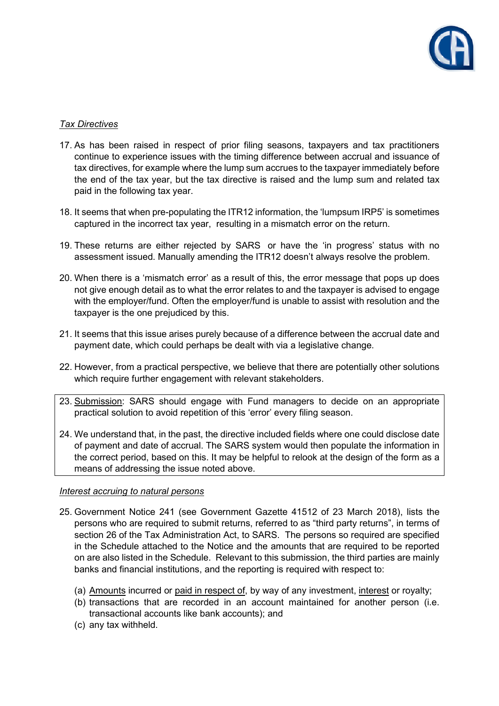

# *Tax Directives*

- 17. As has been raised in respect of prior filing seasons, taxpayers and tax practitioners continue to experience issues with the timing difference between accrual and issuance of tax directives, for example where the lump sum accrues to the taxpayer immediately before the end of the tax year, but the tax directive is raised and the lump sum and related tax paid in the following tax year.
- 18. It seems that when pre-populating the ITR12 information, the 'lumpsum IRP5' is sometimes captured in the incorrect tax year, resulting in a mismatch error on the return.
- 19. These returns are either rejected by SARS or have the 'in progress' status with no assessment issued. Manually amending the ITR12 doesn't always resolve the problem.
- 20. When there is a 'mismatch error' as a result of this, the error message that pops up does not give enough detail as to what the error relates to and the taxpayer is advised to engage with the employer/fund. Often the employer/fund is unable to assist with resolution and the taxpayer is the one prejudiced by this.
- 21. It seems that this issue arises purely because of a difference between the accrual date and payment date, which could perhaps be dealt with via a legislative change.
- 22. However, from a practical perspective, we believe that there are potentially other solutions which require further engagement with relevant stakeholders.
- 23. Submission: SARS should engage with Fund managers to decide on an appropriate practical solution to avoid repetition of this 'error' every filing season.
- 24. We understand that, in the past, the directive included fields where one could disclose date of payment and date of accrual. The SARS system would then populate the information in the correct period, based on this. It may be helpful to relook at the design of the form as a means of addressing the issue noted above.

#### *Interest accruing to natural persons*

- 25. Government Notice 241 (see Government Gazette 41512 of 23 March 2018), lists the persons who are required to submit returns, referred to as "third party returns", in terms of section 26 of the Tax Administration Act, to SARS. The persons so required are specified in the Schedule attached to the Notice and the amounts that are required to be reported on are also listed in the Schedule. Relevant to this submission, the third parties are mainly banks and financial institutions, and the reporting is required with respect to:
	- (a) Amounts incurred or paid in respect of, by way of any investment, interest or royalty;
	- (b) transactions that are recorded in an account maintained for another person (i.e. transactional accounts like bank accounts); and
	- (c) any tax withheld.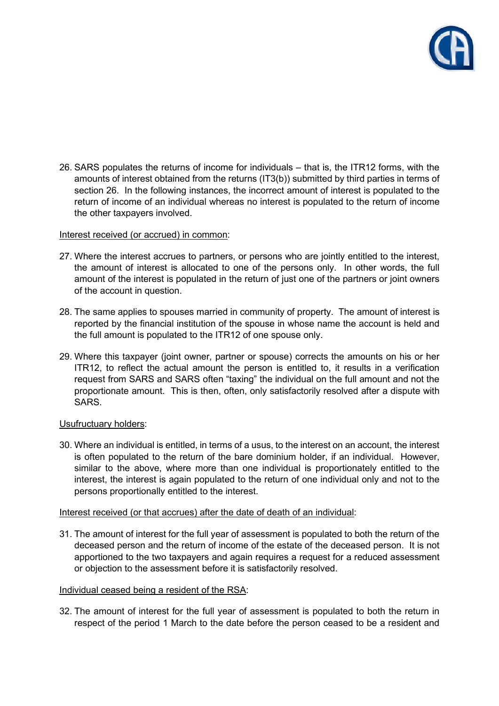

26. SARS populates the returns of income for individuals – that is, the ITR12 forms, with the amounts of interest obtained from the returns (IT3(b)) submitted by third parties in terms of section 26. In the following instances, the incorrect amount of interest is populated to the return of income of an individual whereas no interest is populated to the return of income the other taxpayers involved.

### Interest received (or accrued) in common:

- 27. Where the interest accrues to partners, or persons who are jointly entitled to the interest, the amount of interest is allocated to one of the persons only. In other words, the full amount of the interest is populated in the return of just one of the partners or joint owners of the account in question.
- 28. The same applies to spouses married in community of property. The amount of interest is reported by the financial institution of the spouse in whose name the account is held and the full amount is populated to the ITR12 of one spouse only.
- 29. Where this taxpayer (joint owner, partner or spouse) corrects the amounts on his or her ITR12, to reflect the actual amount the person is entitled to, it results in a verification request from SARS and SARS often "taxing" the individual on the full amount and not the proportionate amount. This is then, often, only satisfactorily resolved after a dispute with SARS.

### Usufructuary holders:

30. Where an individual is entitled, in terms of a usus, to the interest on an account, the interest is often populated to the return of the bare dominium holder, if an individual. However, similar to the above, where more than one individual is proportionately entitled to the interest, the interest is again populated to the return of one individual only and not to the persons proportionally entitled to the interest.

### Interest received (or that accrues) after the date of death of an individual:

31. The amount of interest for the full year of assessment is populated to both the return of the deceased person and the return of income of the estate of the deceased person. It is not apportioned to the two taxpayers and again requires a request for a reduced assessment or objection to the assessment before it is satisfactorily resolved.

#### Individual ceased being a resident of the RSA:

32. The amount of interest for the full year of assessment is populated to both the return in respect of the period 1 March to the date before the person ceased to be a resident and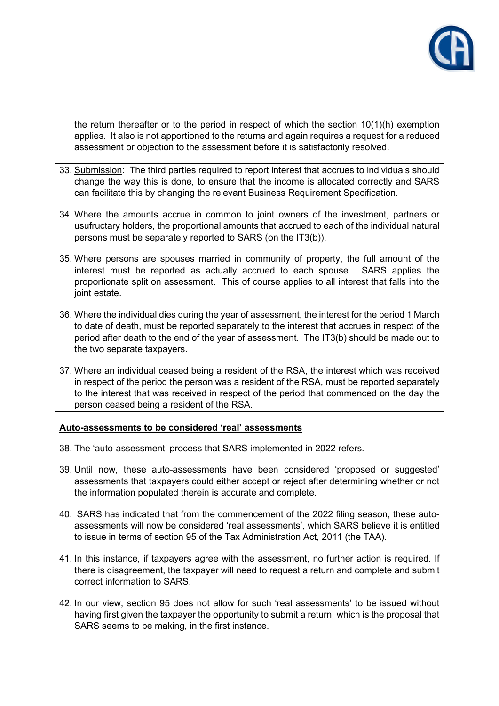

the return thereafter or to the period in respect of which the section 10(1)(h) exemption applies. It also is not apportioned to the returns and again requires a request for a reduced assessment or objection to the assessment before it is satisfactorily resolved.

- 33. Submission: The third parties required to report interest that accrues to individuals should change the way this is done, to ensure that the income is allocated correctly and SARS can facilitate this by changing the relevant Business Requirement Specification.
- 34. Where the amounts accrue in common to joint owners of the investment, partners or usufructary holders, the proportional amounts that accrued to each of the individual natural persons must be separately reported to SARS (on the IT3(b)).
- 35. Where persons are spouses married in community of property, the full amount of the interest must be reported as actually accrued to each spouse. SARS applies the proportionate split on assessment. This of course applies to all interest that falls into the joint estate.
- 36. Where the individual dies during the year of assessment, the interest for the period 1 March to date of death, must be reported separately to the interest that accrues in respect of the period after death to the end of the year of assessment. The IT3(b) should be made out to the two separate taxpayers.
- 37. Where an individual ceased being a resident of the RSA, the interest which was received in respect of the period the person was a resident of the RSA, must be reported separately to the interest that was received in respect of the period that commenced on the day the person ceased being a resident of the RSA.

### **Auto-assessments to be considered 'real' assessments**

- 38. The 'auto-assessment' process that SARS implemented in 2022 refers.
- 39. Until now, these auto-assessments have been considered 'proposed or suggested' assessments that taxpayers could either accept or reject after determining whether or not the information populated therein is accurate and complete.
- 40. SARS has indicated that from the commencement of the 2022 filing season, these autoassessments will now be considered 'real assessments', which SARS believe it is entitled to issue in terms of section 95 of the Tax Administration Act, 2011 (the TAA).
- 41. In this instance, if taxpayers agree with the assessment, no further action is required. If there is disagreement, the taxpayer will need to request a return and complete and submit correct information to SARS.
- 42. In our view, section 95 does not allow for such 'real assessments' to be issued without having first given the taxpayer the opportunity to submit a return, which is the proposal that SARS seems to be making, in the first instance.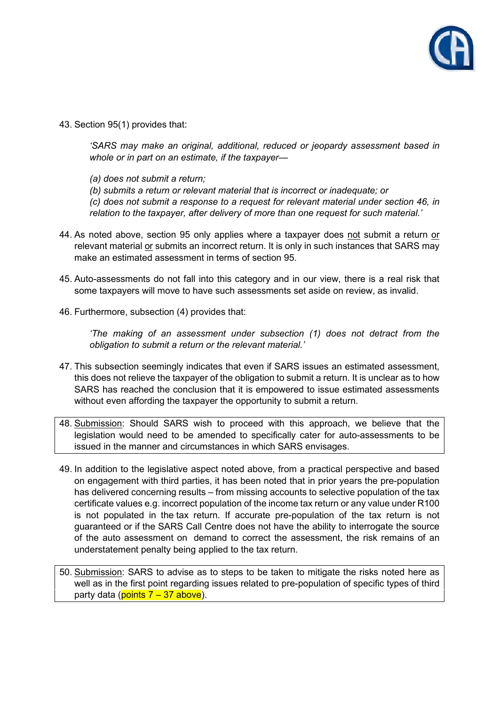

43. Section 95(1) provides that:

*'SARS may make an original, additional, reduced or jeopardy assessment based in whole or in part on an estimate, if the taxpayer—* 

- *(a) does not submit a return;*
- *(b) submits a return or relevant material that is incorrect or inadequate; or*

*(c) does not submit a response to a request for relevant material under section 46, in relation to the taxpayer, after delivery of more than one request for such material.'* 

- 44. As noted above, section 95 only applies where a taxpayer does not submit a return or relevant material or submits an incorrect return. It is only in such instances that SARS may make an estimated assessment in terms of section 95.
- 45. Auto-assessments do not fall into this category and in our view, there is a real risk that some taxpayers will move to have such assessments set aside on review, as invalid.
- 46. Furthermore, subsection (4) provides that:

*'The making of an assessment under subsection (1) does not detract from the obligation to submit a return or the relevant material.'* 

- 47. This subsection seemingly indicates that even if SARS issues an estimated assessment, this does not relieve the taxpayer of the obligation to submit a return. It is unclear as to how SARS has reached the conclusion that it is empowered to issue estimated assessments without even affording the taxpayer the opportunity to submit a return.
- 48. Submission: Should SARS wish to proceed with this approach, we believe that the legislation would need to be amended to specifically cater for auto-assessments to be issued in the manner and circumstances in which SARS envisages.
- 49. In addition to the legislative aspect noted above, from a practical perspective and based on engagement with third parties, it has been noted that in prior years the pre-population has delivered concerning results – from missing accounts to selective population of the tax certificate values e.g. incorrect population of the income tax return or any value under R100 is not populated in the tax return. If accurate pre-population of the tax return is not guaranteed or if the SARS Call Centre does not have the ability to interrogate the source of the auto assessment on demand to correct the assessment, the risk remains of an understatement penalty being applied to the tax return.
- 50. Submission: SARS to advise as to steps to be taken to mitigate the risks noted here as well as in the first point regarding issues related to pre-population of specific types of third party data ( $points$   $7 - 37$  above).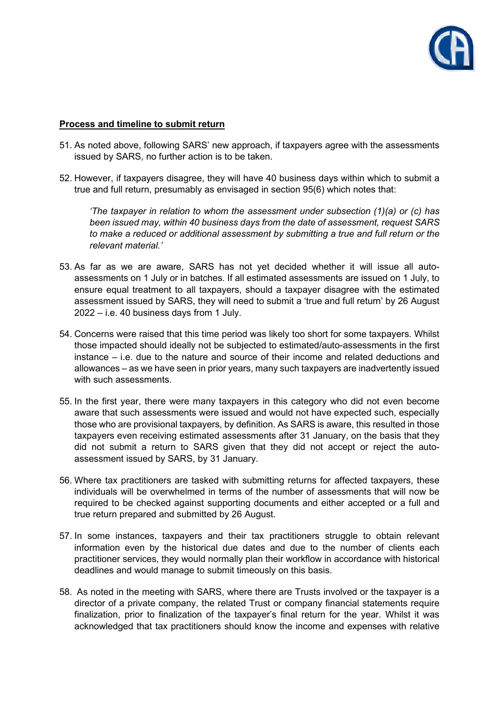

## **Process and timeline to submit return**

- 51. As noted above, following SARS' new approach, if taxpayers agree with the assessments issued by SARS, no further action is to be taken.
- 52. However, if taxpayers disagree, they will have 40 business days within which to submit a true and full return, presumably as envisaged in section 95(6) which notes that:

*'The taxpayer in relation to whom the assessment under subsection (1)(a) or (c) has been issued may, within 40 business days from the date of assessment, request SARS to make a reduced or additional assessment by submitting a true and full return or the relevant material.'* 

- 53. As far as we are aware, SARS has not yet decided whether it will issue all autoassessments on 1 July or in batches. If all estimated assessments are issued on 1 July, to ensure equal treatment to all taxpayers, should a taxpayer disagree with the estimated assessment issued by SARS, they will need to submit a 'true and full return' by 26 August 2022 – i.e. 40 business days from 1 July.
- 54. Concerns were raised that this time period was likely too short for some taxpayers. Whilst those impacted should ideally not be subjected to estimated/auto-assessments in the first instance – i.e. due to the nature and source of their income and related deductions and allowances – as we have seen in prior years, many such taxpayers are inadvertently issued with such assessments.
- 55. In the first year, there were many taxpayers in this category who did not even become aware that such assessments were issued and would not have expected such, especially those who are provisional taxpayers, by definition. As SARS is aware, this resulted in those taxpayers even receiving estimated assessments after 31 January, on the basis that they did not submit a return to SARS given that they did not accept or reject the autoassessment issued by SARS, by 31 January.
- 56. Where tax practitioners are tasked with submitting returns for affected taxpayers, these individuals will be overwhelmed in terms of the number of assessments that will now be required to be checked against supporting documents and either accepted or a full and true return prepared and submitted by 26 August.
- 57. In some instances, taxpayers and their tax practitioners struggle to obtain relevant information even by the historical due dates and due to the number of clients each practitioner services, they would normally plan their workflow in accordance with historical deadlines and would manage to submit timeously on this basis.
- 58. As noted in the meeting with SARS, where there are Trusts involved or the taxpayer is a director of a private company, the related Trust or company financial statements require finalization, prior to finalization of the taxpayer's final return for the year. Whilst it was acknowledged that tax practitioners should know the income and expenses with relative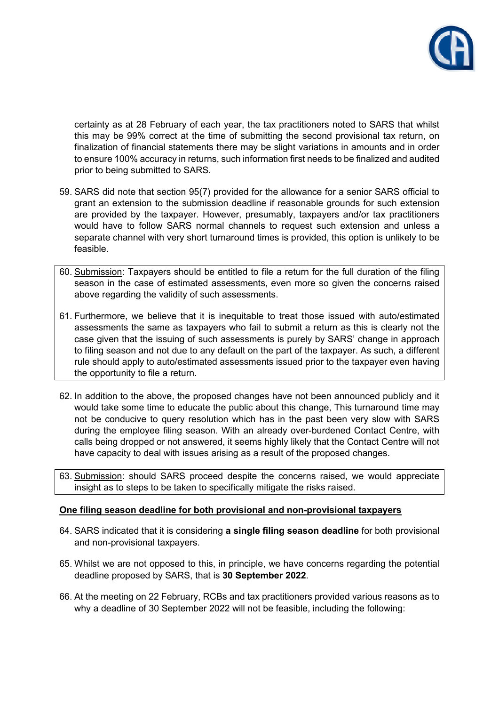

certainty as at 28 February of each year, the tax practitioners noted to SARS that whilst this may be 99% correct at the time of submitting the second provisional tax return, on finalization of financial statements there may be slight variations in amounts and in order to ensure 100% accuracy in returns, such information first needs to be finalized and audited prior to being submitted to SARS.

- 59. SARS did note that section 95(7) provided for the allowance for a senior SARS official to grant an extension to the submission deadline if reasonable grounds for such extension are provided by the taxpayer. However, presumably, taxpayers and/or tax practitioners would have to follow SARS normal channels to request such extension and unless a separate channel with very short turnaround times is provided, this option is unlikely to be feasible.
- 60. Submission: Taxpayers should be entitled to file a return for the full duration of the filing season in the case of estimated assessments, even more so given the concerns raised above regarding the validity of such assessments.
- 61. Furthermore, we believe that it is inequitable to treat those issued with auto/estimated assessments the same as taxpayers who fail to submit a return as this is clearly not the case given that the issuing of such assessments is purely by SARS' change in approach to filing season and not due to any default on the part of the taxpayer. As such, a different rule should apply to auto/estimated assessments issued prior to the taxpayer even having the opportunity to file a return.
- 62. In addition to the above, the proposed changes have not been announced publicly and it would take some time to educate the public about this change, This turnaround time may not be conducive to query resolution which has in the past been very slow with SARS during the employee filing season. With an already over-burdened Contact Centre, with calls being dropped or not answered, it seems highly likely that the Contact Centre will not have capacity to deal with issues arising as a result of the proposed changes.
- 63. Submission: should SARS proceed despite the concerns raised, we would appreciate insight as to steps to be taken to specifically mitigate the risks raised.

### **One filing season deadline for both provisional and non-provisional taxpayers**

- 64. SARS indicated that it is considering **a single filing season deadline** for both provisional and non-provisional taxpayers.
- 65. Whilst we are not opposed to this, in principle, we have concerns regarding the potential deadline proposed by SARS, that is **30 September 2022**.
- 66. At the meeting on 22 February, RCBs and tax practitioners provided various reasons as to why a deadline of 30 September 2022 will not be feasible, including the following: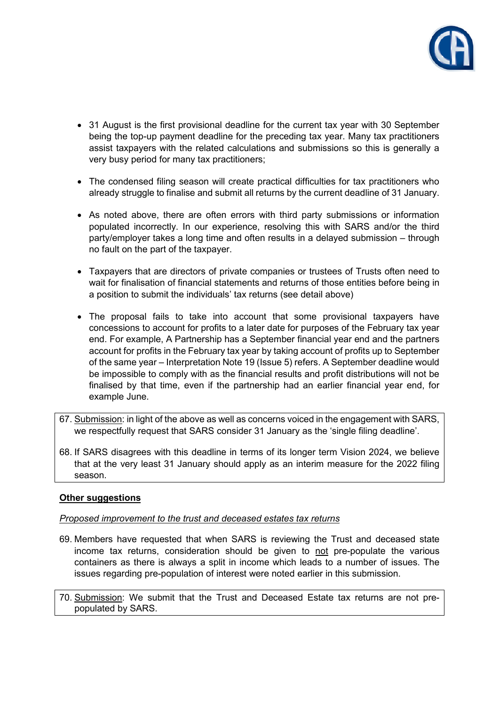

- 31 August is the first provisional deadline for the current tax year with 30 September being the top-up payment deadline for the preceding tax year. Many tax practitioners assist taxpayers with the related calculations and submissions so this is generally a very busy period for many tax practitioners;
- The condensed filing season will create practical difficulties for tax practitioners who already struggle to finalise and submit all returns by the current deadline of 31 January.
- As noted above, there are often errors with third party submissions or information populated incorrectly. In our experience, resolving this with SARS and/or the third party/employer takes a long time and often results in a delayed submission – through no fault on the part of the taxpayer.
- Taxpayers that are directors of private companies or trustees of Trusts often need to wait for finalisation of financial statements and returns of those entities before being in a position to submit the individuals' tax returns (see detail above)
- The proposal fails to take into account that some provisional taxpayers have concessions to account for profits to a later date for purposes of the February tax year end. For example, A Partnership has a September financial year end and the partners account for profits in the February tax year by taking account of profits up to September of the same year – Interpretation Note 19 (Issue 5) refers. A September deadline would be impossible to comply with as the financial results and profit distributions will not be finalised by that time, even if the partnership had an earlier financial year end, for example June.
- 67. Submission: in light of the above as well as concerns voiced in the engagement with SARS, we respectfully request that SARS consider 31 January as the 'single filing deadline'.
- 68. If SARS disagrees with this deadline in terms of its longer term Vision 2024, we believe that at the very least 31 January should apply as an interim measure for the 2022 filing season.

# **Other suggestions**

### *Proposed improvement to the trust and deceased estates tax returns*

- 69. Members have requested that when SARS is reviewing the Trust and deceased state income tax returns, consideration should be given to not pre-populate the various containers as there is always a split in income which leads to a number of issues. The issues regarding pre-population of interest were noted earlier in this submission.
- 70. Submission: We submit that the Trust and Deceased Estate tax returns are not prepopulated by SARS.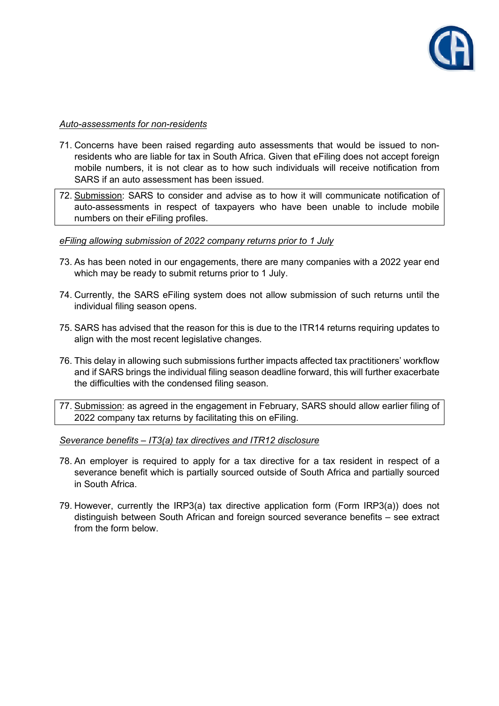

### *Auto-assessments for non-residents*

- 71. Concerns have been raised regarding auto assessments that would be issued to nonresidents who are liable for tax in South Africa. Given that eFiling does not accept foreign mobile numbers, it is not clear as to how such individuals will receive notification from SARS if an auto assessment has been issued.
- 72. Submission: SARS to consider and advise as to how it will communicate notification of auto-assessments in respect of taxpayers who have been unable to include mobile numbers on their eFiling profiles.

## *eFiling allowing submission of 2022 company returns prior to 1 July*

- 73. As has been noted in our engagements, there are many companies with a 2022 year end which may be ready to submit returns prior to 1 July.
- 74. Currently, the SARS eFiling system does not allow submission of such returns until the individual filing season opens.
- 75. SARS has advised that the reason for this is due to the ITR14 returns requiring updates to align with the most recent legislative changes.
- 76. This delay in allowing such submissions further impacts affected tax practitioners' workflow and if SARS brings the individual filing season deadline forward, this will further exacerbate the difficulties with the condensed filing season.
- 77. Submission: as agreed in the engagement in February, SARS should allow earlier filing of 2022 company tax returns by facilitating this on eFiling.

### *Severance benefits – IT3(a) tax directives and ITR12 disclosure*

- 78. An employer is required to apply for a tax directive for a tax resident in respect of a severance benefit which is partially sourced outside of South Africa and partially sourced in South Africa.
- 79. However, currently the IRP3(a) tax directive application form (Form IRP3(a)) does not distinguish between South African and foreign sourced severance benefits – see extract from the form below.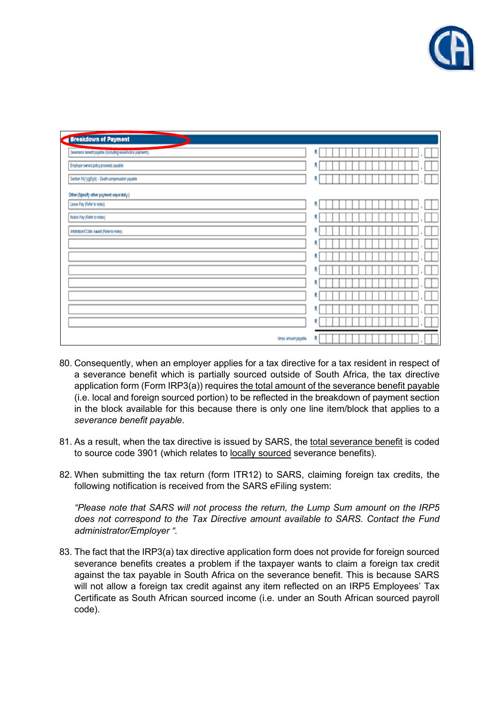

| <b>Sreakdown of Payment</b>                                 |   |
|-------------------------------------------------------------|---|
| Severance benefit payable (Excluding leave/notice payments) | R |
| Employer owned policy proceeds payable                      | R |
| Section 10(1)(gB)(iii) - Death compensation payable         | R |
| Other (Specify other payment separately)                    |   |
| Leave Pay (Refer to notes)                                  | R |
| Notice Pay (Refer to notes)                                 | R |
| Arbitration/CCMA Award (Refer to notes)                     | R |
|                                                             | R |
|                                                             | R |
|                                                             | R |
|                                                             | R |
|                                                             | R |
|                                                             | R |
|                                                             | R |
| Gross amount payable                                        | R |

- 80. Consequently, when an employer applies for a tax directive for a tax resident in respect of a severance benefit which is partially sourced outside of South Africa, the tax directive application form (Form IRP3(a)) requires the total amount of the severance benefit payable (i.e. local and foreign sourced portion) to be reflected in the breakdown of payment section in the block available for this because there is only one line item/block that applies to a *severance benefit payable*.
- 81. As a result, when the tax directive is issued by SARS, the total severance benefit is coded to source code 3901 (which relates to locally sourced severance benefits).
- 82. When submitting the tax return (form ITR12) to SARS, claiming foreign tax credits, the following notification is received from the SARS eFiling system:

*"Please note that SARS will not process the return, the Lump Sum amount on the IRP5 does not correspond to the Tax Directive amount available to SARS. Contact the Fund administrator/Employer ".* 

83. The fact that the IRP3(a) tax directive application form does not provide for foreign sourced severance benefits creates a problem if the taxpayer wants to claim a foreign tax credit against the tax payable in South Africa on the severance benefit. This is because SARS will not allow a foreign tax credit against any item reflected on an IRP5 Employees' Tax Certificate as South African sourced income (i.e. under an South African sourced payroll code).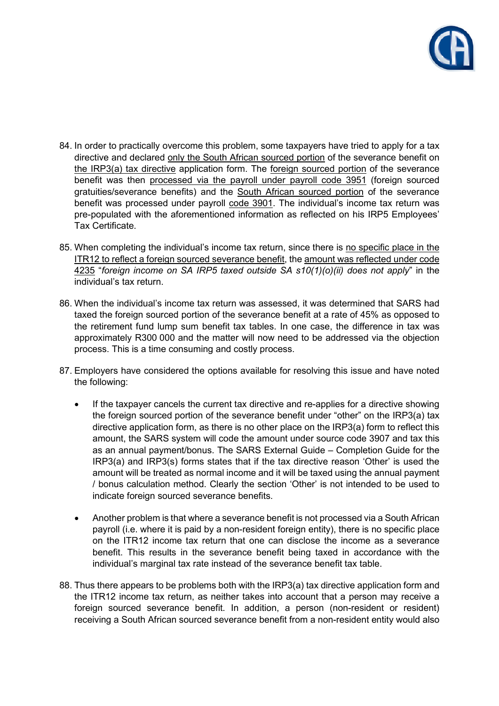

- 84. In order to practically overcome this problem, some taxpayers have tried to apply for a tax directive and declared only the South African sourced portion of the severance benefit on the IRP3(a) tax directive application form. The foreign sourced portion of the severance benefit was then processed via the payroll under payroll code 3951 (foreign sourced gratuities/severance benefits) and the South African sourced portion of the severance benefit was processed under payroll code 3901. The individual's income tax return was pre-populated with the aforementioned information as reflected on his IRP5 Employees' Tax Certificate.
- 85. When completing the individual's income tax return, since there is no specific place in the ITR12 to reflect a foreign sourced severance benefit, the amount was reflected under code 4235 "*foreign income on SA IRP5 taxed outside SA s10(1)(o)(ii) does not apply*" in the individual's tax return.
- 86. When the individual's income tax return was assessed, it was determined that SARS had taxed the foreign sourced portion of the severance benefit at a rate of 45% as opposed to the retirement fund lump sum benefit tax tables. In one case, the difference in tax was approximately R300 000 and the matter will now need to be addressed via the objection process. This is a time consuming and costly process.
- 87. Employers have considered the options available for resolving this issue and have noted the following:
	- If the taxpayer cancels the current tax directive and re-applies for a directive showing the foreign sourced portion of the severance benefit under "other" on the IRP3(a) tax directive application form, as there is no other place on the IRP3(a) form to reflect this amount, the SARS system will code the amount under source code 3907 and tax this as an annual payment/bonus. The SARS External Guide – Completion Guide for the IRP3(a) and IRP3(s) forms states that if the tax directive reason 'Other' is used the amount will be treated as normal income and it will be taxed using the annual payment / bonus calculation method. Clearly the section 'Other' is not intended to be used to indicate foreign sourced severance benefits.
	- Another problem is that where a severance benefit is not processed via a South African payroll (i.e. where it is paid by a non-resident foreign entity), there is no specific place on the ITR12 income tax return that one can disclose the income as a severance benefit. This results in the severance benefit being taxed in accordance with the individual's marginal tax rate instead of the severance benefit tax table.
- 88. Thus there appears to be problems both with the IRP3(a) tax directive application form and the ITR12 income tax return, as neither takes into account that a person may receive a foreign sourced severance benefit. In addition, a person (non-resident or resident) receiving a South African sourced severance benefit from a non-resident entity would also